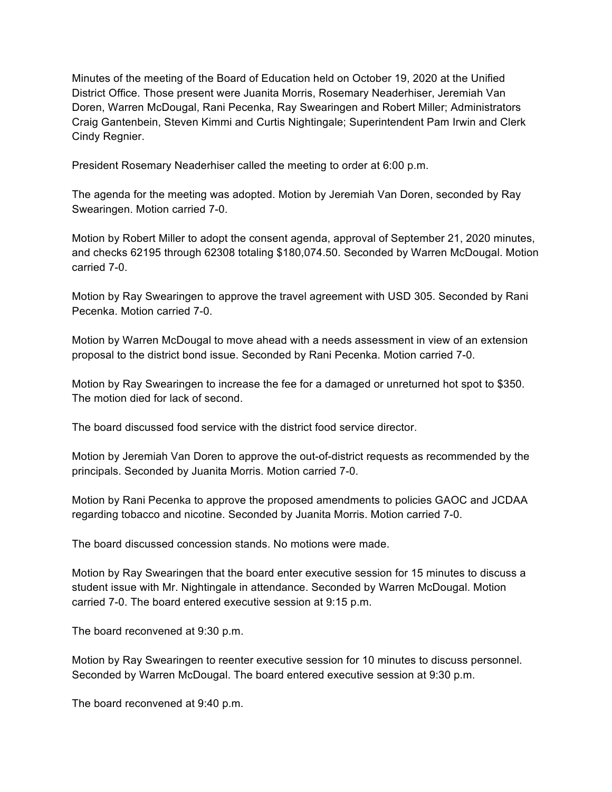Minutes of the meeting of the Board of Education held on October 19, 2020 at the Unified District Office. Those present were Juanita Morris, Rosemary Neaderhiser, Jeremiah Van Doren, Warren McDougal, Rani Pecenka, Ray Swearingen and Robert Miller; Administrators Craig Gantenbein, Steven Kimmi and Curtis Nightingale; Superintendent Pam Irwin and Clerk Cindy Regnier.

President Rosemary Neaderhiser called the meeting to order at 6:00 p.m.

The agenda for the meeting was adopted. Motion by Jeremiah Van Doren, seconded by Ray Swearingen. Motion carried 7-0.

Motion by Robert Miller to adopt the consent agenda, approval of September 21, 2020 minutes, and checks 62195 through 62308 totaling \$180,074.50. Seconded by Warren McDougal. Motion carried 7-0.

Motion by Ray Swearingen to approve the travel agreement with USD 305. Seconded by Rani Pecenka. Motion carried 7-0.

Motion by Warren McDougal to move ahead with a needs assessment in view of an extension proposal to the district bond issue. Seconded by Rani Pecenka. Motion carried 7-0.

Motion by Ray Swearingen to increase the fee for a damaged or unreturned hot spot to \$350. The motion died for lack of second.

The board discussed food service with the district food service director.

Motion by Jeremiah Van Doren to approve the out-of-district requests as recommended by the principals. Seconded by Juanita Morris. Motion carried 7-0.

Motion by Rani Pecenka to approve the proposed amendments to policies GAOC and JCDAA regarding tobacco and nicotine. Seconded by Juanita Morris. Motion carried 7-0.

The board discussed concession stands. No motions were made.

Motion by Ray Swearingen that the board enter executive session for 15 minutes to discuss a student issue with Mr. Nightingale in attendance. Seconded by Warren McDougal. Motion carried 7-0. The board entered executive session at 9:15 p.m.

The board reconvened at 9:30 p.m.

Motion by Ray Swearingen to reenter executive session for 10 minutes to discuss personnel. Seconded by Warren McDougal. The board entered executive session at 9:30 p.m.

The board reconvened at 9:40 p.m.